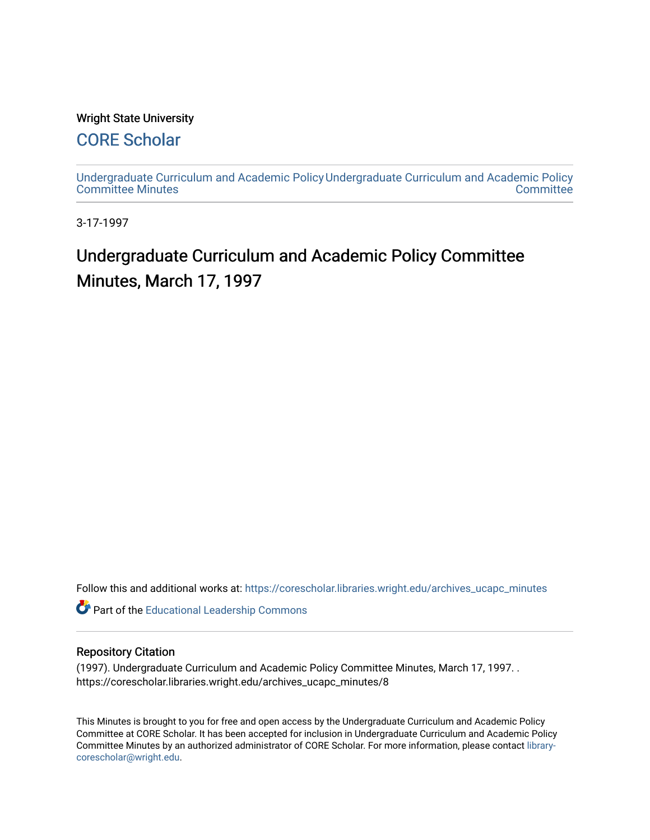### Wright State University

## [CORE Scholar](https://corescholar.libraries.wright.edu/)

[Undergraduate Curriculum and Academic Policy](https://corescholar.libraries.wright.edu/archives_ucapc_minutes) [Undergraduate Curriculum and Academic Policy](https://corescholar.libraries.wright.edu/archives_ucapc)  [Committee Minutes](https://corescholar.libraries.wright.edu/archives_ucapc_minutes) **Committee** 

3-17-1997

# Undergraduate Curriculum and Academic Policy Committee Minutes, March 17, 1997

Follow this and additional works at: [https://corescholar.libraries.wright.edu/archives\\_ucapc\\_minutes](https://corescholar.libraries.wright.edu/archives_ucapc_minutes?utm_source=corescholar.libraries.wright.edu%2Farchives_ucapc_minutes%2F8&utm_medium=PDF&utm_campaign=PDFCoverPages) 

Part of the [Educational Leadership Commons](http://network.bepress.com/hgg/discipline/1230?utm_source=corescholar.libraries.wright.edu%2Farchives_ucapc_minutes%2F8&utm_medium=PDF&utm_campaign=PDFCoverPages) 

#### Repository Citation

(1997). Undergraduate Curriculum and Academic Policy Committee Minutes, March 17, 1997. . https://corescholar.libraries.wright.edu/archives\_ucapc\_minutes/8

This Minutes is brought to you for free and open access by the Undergraduate Curriculum and Academic Policy Committee at CORE Scholar. It has been accepted for inclusion in Undergraduate Curriculum and Academic Policy Committee Minutes by an authorized administrator of CORE Scholar. For more information, please contact [library](mailto:library-corescholar@wright.edu)[corescholar@wright.edu](mailto:library-corescholar@wright.edu).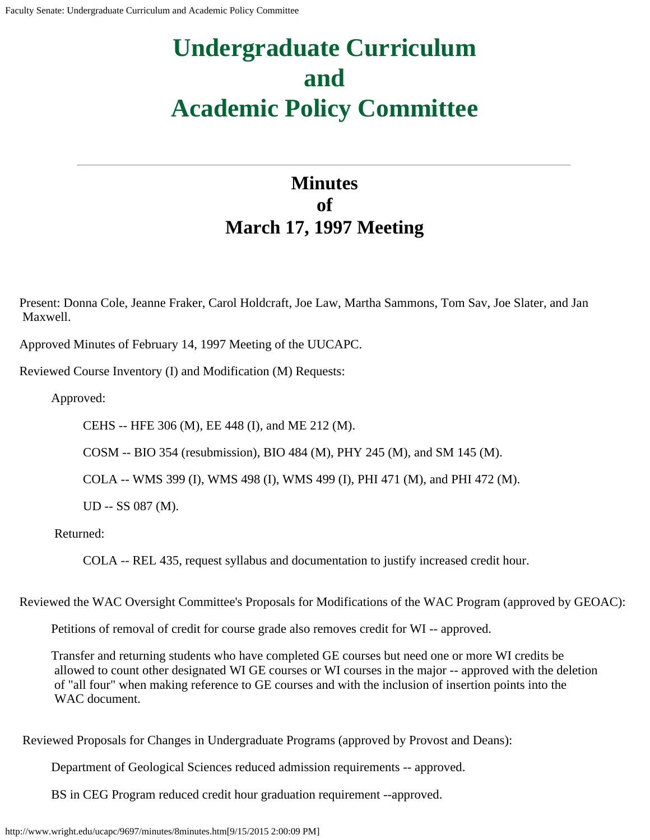# **Undergraduate Curriculum and Academic Policy Committee**

# **Minutes of March 17, 1997 Meeting**

Present: Donna Cole, Jeanne Fraker, Carol Holdcraft, Joe Law, Martha Sammons, Tom Sav, Joe Slater, and Jan Maxwell.

Approved Minutes of February 14, 1997 Meeting of the UUCAPC.

Reviewed Course Inventory (I) and Modification (M) Requests:

Approved:

CEHS -- HFE 306 (M), EE 448 (I), and ME 212 (M).

COSM -- BIO 354 (resubmission), BIO 484 (M), PHY 245 (M), and SM 145 (M).

COLA -- WMS 399 (I), WMS 498 (I), WMS 499 (I), PHI 471 (M), and PHI 472 (M).

UD -- SS 087 (M).

Returned:

COLA -- REL 435, request syllabus and documentation to justify increased credit hour.

Reviewed the WAC Oversight Committee's Proposals for Modifications of the WAC Program (approved by GEOAC):

Petitions of removal of credit for course grade also removes credit for WI -- approved.

Transfer and returning students who have completed GE courses but need one or more WI credits be allowed to count other designated WI GE courses or WI courses in the major -- approved with the deletion of "all four" when making reference to GE courses and with the inclusion of insertion points into the WAC document.

Reviewed Proposals for Changes in Undergraduate Programs (approved by Provost and Deans):

Department of Geological Sciences reduced admission requirements -- approved.

BS in CEG Program reduced credit hour graduation requirement --approved.